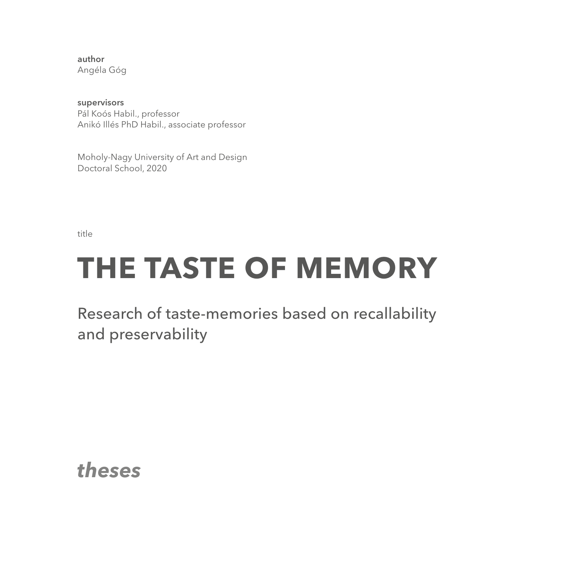author Angéla Góg

supervisors Pál Koós Habil., professor Anikó Illés PhD Habil., associate professor

Moholy-Nagy University of Art and Design Doctoral School, 2020

title

# **THE TASTE OF MEMORY**

Research of taste-memories based on recallability and preservability

*theses*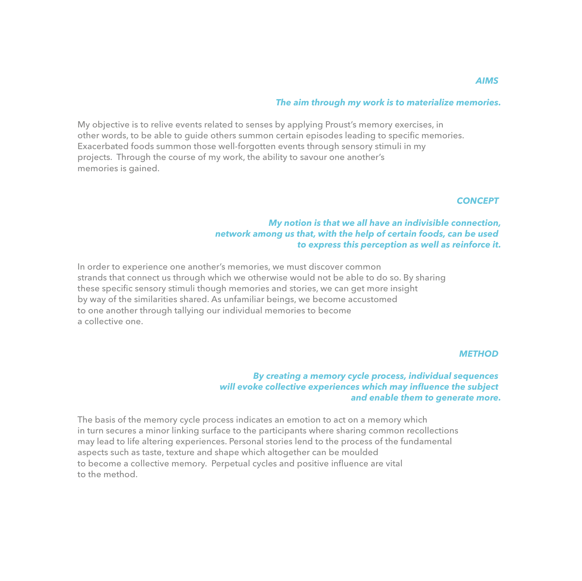# *The aim through my work is to materialize memories .*

My objective is to relive events related to senses by applying Proust's memory exercises, in other words, to be able to guide others summon certain episodes leading to specific memories. Exacerbated foods summon those well-forgotten events through sensory stimuli in my projects. Through the course of my work, the ability to savour one another's memories is gained.

#### *CONCEPT*

# *My notion is that we all have an indivisible connection , network among us that, with the help of certain foods, can be used to express this perception as well as reinforce it .*

In order to experience one another's memories, we must discover common strands that connect us through which we otherwise would not be able to do so. By sharing these specific sensory stimuli though memories and stories, we can get more insight by way of the similarities shared. As unfamiliar beings, we become accustomed to one another through tallying our individual memories to become a collective one.

#### *METHOD*

# *By creating a memory cycle process, individual sequences will evoke collective experiences which may influence the subject and enable them to generate more .*

The basis of the memory cycle process indicates an emotion to act on a memory which in turn secures a minor linking surface to the participants where sharing common recollections may lead to life altering experiences. Personal stories lend to the process of the fundamental aspects such as taste, texture and shape which altogether can be moulded to become a collective memory. Perpetual cycles and positive influence are vital to the method.

#### *AIMS*